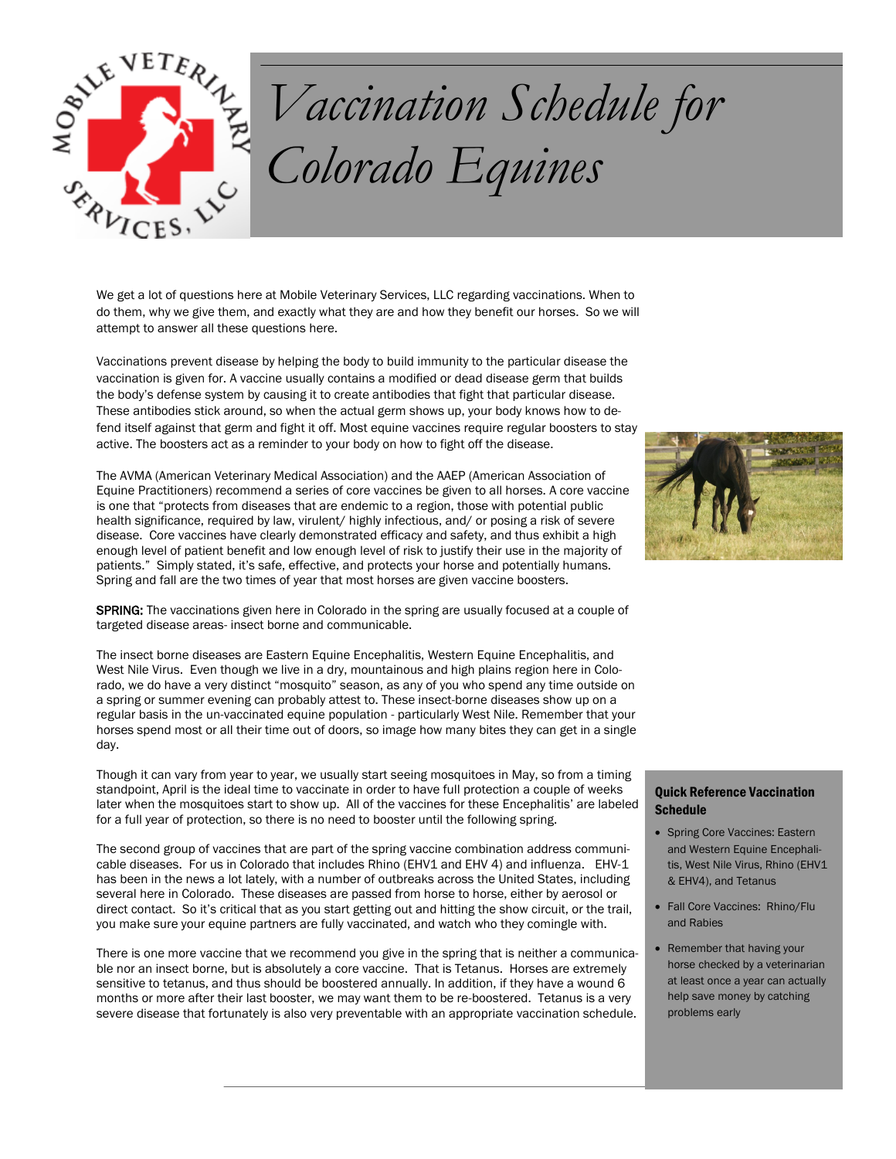

## *Vaccination Schedule for Colorado Equines*

We get a lot of questions here at Mobile Veterinary Services, LLC regarding vaccinations. When to do them, why we give them, and exactly what they are and how they benefit our horses. So we will attempt to answer all these questions here.

Vaccinations prevent disease by helping the body to build immunity to the particular disease the vaccination is given for. A vaccine usually contains a modified or dead disease germ that builds the body's defense system by causing it to create antibodies that fight that particular disease. These antibodies stick around, so when the actual germ shows up, your body knows how to defend itself against that germ and fight it off. Most equine vaccines require regular boosters to stay active. The boosters act as a reminder to your body on how to fight off the disease.

The AVMA (American Veterinary Medical Association) and the AAEP (American Association of Equine Practitioners) recommend a series of core vaccines be given to all horses. A core vaccine is one that "protects from diseases that are endemic to a region, those with potential public health significance, required by law, virulent/ highly infectious, and/ or posing a risk of severe disease. Core vaccines have clearly demonstrated efficacy and safety, and thus exhibit a high enough level of patient benefit and low enough level of risk to justify their use in the majority of patients." Simply stated, it's safe, effective, and protects your horse and potentially humans. Spring and fall are the two times of year that most horses are given vaccine boosters.

SPRING: The vaccinations given here in Colorado in the spring are usually focused at a couple of targeted disease areas- insect borne and communicable.

The insect borne diseases are Eastern Equine Encephalitis, Western Equine Encephalitis, and West Nile Virus. Even though we live in a dry, mountainous and high plains region here in Colorado, we do have a very distinct "mosquito" season, as any of you who spend any time outside on a spring or summer evening can probably attest to. These insect-borne diseases show up on a regular basis in the un-vaccinated equine population - particularly West Nile. Remember that your horses spend most or all their time out of doors, so image how many bites they can get in a single day.

Though it can vary from year to year, we usually start seeing mosquitoes in May, so from a timing standpoint, April is the ideal time to vaccinate in order to have full protection a couple of weeks later when the mosquitoes start to show up. All of the vaccines for these Encephalitis' are labeled for a full year of protection, so there is no need to booster until the following spring.

The second group of vaccines that are part of the spring vaccine combination address communicable diseases. For us in Colorado that includes Rhino (EHV1 and EHV 4) and influenza. EHV-1 has been in the news a lot lately, with a number of outbreaks across the United States, including several here in Colorado. These diseases are passed from horse to horse, either by aerosol or direct contact. So it's critical that as you start getting out and hitting the show circuit, or the trail, you make sure your equine partners are fully vaccinated, and watch who they comingle with.

There is one more vaccine that we recommend you give in the spring that is neither a communicable nor an insect borne, but is absolutely a core vaccine. That is Tetanus. Horses are extremely sensitive to tetanus, and thus should be boostered annually. In addition, if they have a wound 6 months or more after their last booster, we may want them to be re-boostered. Tetanus is a very severe disease that fortunately is also very preventable with an appropriate vaccination schedule.



## Quick Reference Vaccination **Schedule**

- Spring Core Vaccines: Eastern and Western Equine Encephalitis, West Nile Virus, Rhino (EHV1 & EHV4), and Tetanus
- Fall Core Vaccines: Rhino/Flu and Rabies
- Remember that having your horse checked by a veterinarian at least once a year can actually help save money by catching problems early